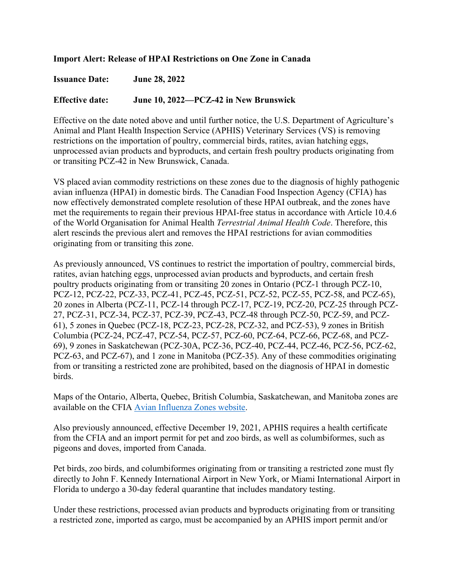## **Import Alert: Release of HPAI Restrictions on One Zone in Canada**

**Issuance Date: June 28, 2022** 

## **Effective date: June 10, 2022—PCZ-42 in New Brunswick**

Effective on the date noted above and until further notice, the U.S. Department of Agriculture's Animal and Plant Health Inspection Service (APHIS) Veterinary Services (VS) is removing restrictions on the importation of poultry, commercial birds, ratites, avian hatching eggs, unprocessed avian products and byproducts, and certain fresh poultry products originating from or transiting PCZ-42 in New Brunswick, Canada.

VS placed avian commodity restrictions on these zones due to the diagnosis of highly pathogenic avian influenza (HPAI) in domestic birds. The Canadian Food Inspection Agency (CFIA) has now effectively demonstrated complete resolution of these HPAI outbreak, and the zones have met the requirements to regain their previous HPAI-free status in accordance with Article 10.4.6 of the World Organisation for Animal Health *Terrestrial Animal Health Code*. Therefore, this alert rescinds the previous alert and removes the HPAI restrictions for avian commodities originating from or transiting this zone.

As previously announced, VS continues to restrict the importation of poultry, commercial birds, ratites, avian hatching eggs, unprocessed avian products and byproducts, and certain fresh poultry products originating from or transiting 20 zones in Ontario (PCZ-1 through PCZ-10, PCZ-12, PCZ-22, PCZ-33, PCZ-41, PCZ-45, PCZ-51, PCZ-52, PCZ-55, PCZ-58, and PCZ-65), 20 zones in Alberta (PCZ-11, PCZ-14 through PCZ-17, PCZ-19, PCZ-20, PCZ-25 through PCZ-27, PCZ-31, PCZ-34, PCZ-37, PCZ-39, PCZ-43, PCZ-48 through PCZ-50, PCZ-59, and PCZ-61), 5 zones in Quebec (PCZ-18, PCZ-23, PCZ-28, PCZ-32, and PCZ-53), 9 zones in British Columbia (PCZ-24, PCZ-47, PCZ-54, PCZ-57, PCZ-60, PCZ-64, PCZ-66, PCZ-68, and PCZ-69), 9 zones in Saskatchewan (PCZ-30A, PCZ-36, PCZ-40, PCZ-44, PCZ-46, PCZ-56, PCZ-62, PCZ-63, and PCZ-67), and 1 zone in Manitoba (PCZ-35). Any of these commodities originating from or transiting a restricted zone are prohibited, based on the diagnosis of HPAI in domestic birds.

Maps of the Ontario, Alberta, Quebec, British Columbia, Saskatchewan, and Manitoba zones are available on the CFIA [Avian Influenza Zones website.](https://inspection.canada.ca/animal-health/terrestrial-animals/diseases/reportable/avian-influenza/response-to-detections-of-highly-pathogenic-avian-/ai-zones/eng/1648851134912/1648851359195)

Also previously announced, effective December 19, 2021, APHIS requires a health certificate from the CFIA and an import permit for pet and zoo birds, as well as columbiformes, such as pigeons and doves, imported from Canada.

Pet birds, zoo birds, and columbiformes originating from or transiting a restricted zone must fly directly to John F. Kennedy International Airport in New York, or Miami International Airport in Florida to undergo a 30-day federal quarantine that includes mandatory testing.

Under these restrictions, processed avian products and byproducts originating from or transiting a restricted zone, imported as cargo, must be accompanied by an APHIS import permit and/or